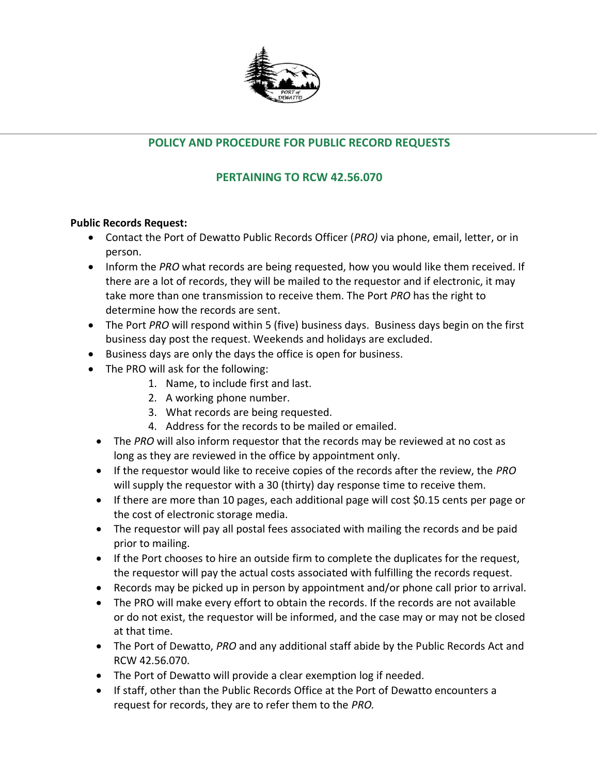

## **POLICY AND PROCEDURE FOR PUBLIC RECORD REQUESTS**

## **PERTAINING TO RCW 42.56.070**

## **Public Records Request:**

- Contact the Port of Dewatto Public Records Officer (*PRO)* via phone, email, letter, or in person.
- Inform the *PRO* what records are being requested, how you would like them received. If there are a lot of records, they will be mailed to the requestor and if electronic, it may take more than one transmission to receive them. The Port *PRO* has the right to determine how the records are sent.
- The Port *PRO* will respond within 5 (five) business days. Business days begin on the first business day post the request. Weekends and holidays are excluded.
- Business days are only the days the office is open for business.
- The PRO will ask for the following:
	- 1. Name, to include first and last.
	- 2. A working phone number.
	- 3. What records are being requested.
	- 4. Address for the records to be mailed or emailed.
	- The *PRO* will also inform requestor that the records may be reviewed at no cost as long as they are reviewed in the office by appointment only.
	- If the requestor would like to receive copies of the records after the review, the *PRO*  will supply the requestor with a 30 (thirty) day response time to receive them.
	- If there are more than 10 pages, each additional page will cost \$0.15 cents per page or the cost of electronic storage media.
	- The requestor will pay all postal fees associated with mailing the records and be paid prior to mailing.
	- If the Port chooses to hire an outside firm to complete the duplicates for the request, the requestor will pay the actual costs associated with fulfilling the records request.
	- Records may be picked up in person by appointment and/or phone call prior to arrival.
	- The PRO will make every effort to obtain the records. If the records are not available or do not exist, the requestor will be informed, and the case may or may not be closed at that time.
	- The Port of Dewatto, *PRO* and any additional staff abide by the Public Records Act and RCW 42.56.070.
	- The Port of Dewatto will provide a clear exemption log if needed.
	- If staff, other than the Public Records Office at the Port of Dewatto encounters a request for records, they are to refer them to the *PRO.*